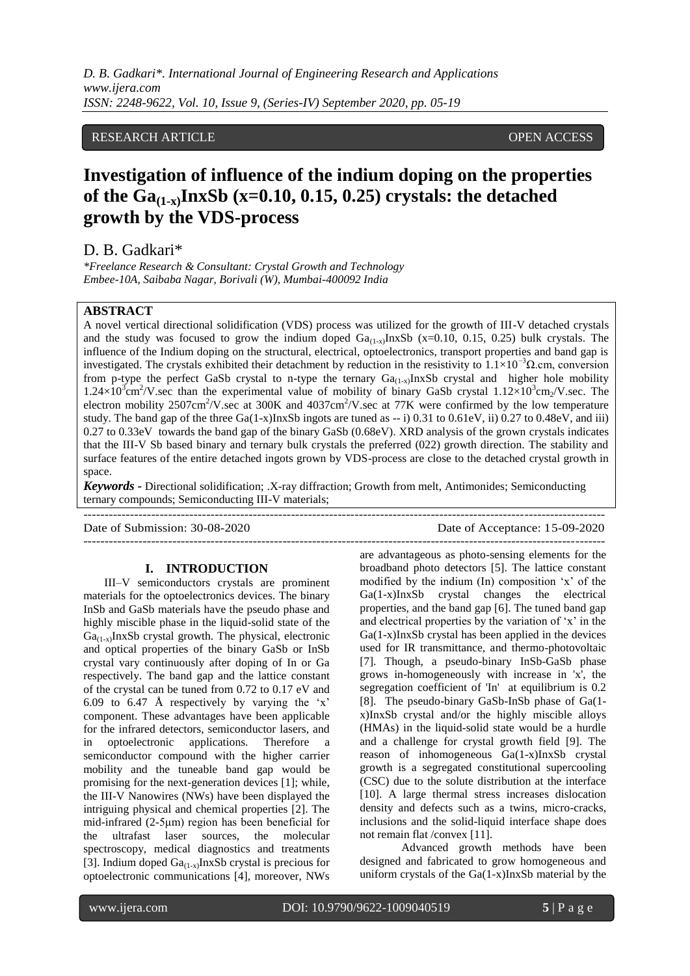# RESEARCH ARTICLE **CONSERVERS** OPEN ACCESS

# **Investigation of influence of the indium doping on the properties of the Ga(1-x)InxSb (x=0.10, 0.15, 0.25) crystals: the detached growth by the VDS-process**

D. B. Gadkari\*

*\*Freelance Research & Consultant: Crystal Growth and Technology Embee-10A, Saibaba Nagar, Borivali (W), Mumbai-400092 India*

## **ABSTRACT**

A novel vertical directional solidification (VDS) process was utilized for the growth of III-V detached crystals and the study was focused to grow the indium doped  $Ga_{(1-x)}InxSb$  (x=0.10, 0.15, 0.25) bulk crystals. The influence of the Indium doping on the structural, electrical, optoelectronics, transport properties and band gap is investigated. The crystals exhibited their detachment by reduction in the resistivity to  $1.1 \times 10^{-3} \Omega$ .cm, conversion from p-type the perfect GaSb crystal to n-type the ternary  $Ga_{(1-x)}InxSb$  crystal and higher hole mobility  $1.24 \times 10^3$  cm<sup>2</sup>/V sec than the experimental value of mobility of binary GaSb crystal  $1.12 \times 10^3$  cm<sub>2</sub>/V sec. The electron mobility 2507cm<sup>2</sup>/V sec at 300K and 4037cm<sup>2</sup>/V sec at 77K were confirmed by the low temperature study. The band gap of the three  $Ga(1-x)InxSb$  ingots are tuned as  $-1$  0.31 to 0.61eV, ii) 0.27 to 0.48eV, and iii) 0.27 to 0.33eV towards the band gap of the binary GaSb (0.68eV). XRD analysis of the grown crystals indicates that the III-V Sb based binary and ternary bulk crystals the preferred (022) growth direction. The stability and surface features of the entire detached ingots grown by VDS-process are close to the detached crystal growth in space.

*Keywords* **-** Directional solidification; .X-ray diffraction; Growth from melt, Antimonides; Semiconducting ternary compounds; Semiconducting III-V materials;

---------------------------------------------------------------------------------------------------------------------------

---------------------------------------------------------------------------------------------------------------------------

Date of Submission: 30-08-2020 Date of Acceptance: 15-09-2020

## **I. INTRODUCTION**

III–V semiconductors crystals are prominent materials for the optoelectronics devices. The binary InSb and GaSb materials have the pseudo phase and highly miscible phase in the liquid-solid state of the  $Ga_{(1-x)}$ InxSb crystal growth. The physical, electronic and optical properties of the binary GaSb or InSb crystal vary continuously after doping of In or Ga respectively. The band gap and the lattice constant of the crystal can be tuned from 0.72 to 0.17 eV and 6.09 to 6.47 Å respectively by varying the 'x' component. These advantages have been applicable for the infrared detectors, semiconductor lasers, and in optoelectronic applications. Therefore a semiconductor compound with the higher carrier mobility and the tuneable band gap would be promising for the next-generation devices [1]; while, the III-V Nanowires (NWs) have been displayed the intriguing physical and chemical properties [2]. The mid-infrared (2-5μm) region has been beneficial for the ultrafast laser sources, the molecular spectroscopy, medical diagnostics and treatments [3]. Indium doped  $Ga_{(1-x)}InxSb$  crystal is precious for optoelectronic communications [4], moreover, NWs

are advantageous as photo-sensing elements for the broadband photo detectors [5]. The lattice constant modified by the indium (In) composition "x" of the Ga(1-x)InxSb crystal changes the electrical properties, and the band gap [6]. The tuned band gap and electrical properties by the variation of "x" in the Ga(1-x)InxSb crystal has been applied in the devices used for IR transmittance, and thermo-photovoltaic [7]. Though, a pseudo-binary InSb-GaSb phase grows in-homogeneously with increase in 'x', the segregation coefficient of 'In' at equilibrium is 0.2 [8]. The pseudo-binary GaSb-InSb phase of Ga(1 x)InxSb crystal and/or the highly miscible alloys (HMAs) in the liquid-solid state would be a hurdle and a challenge for crystal growth field [9]. The reason of inhomogeneous Ga(1-x)InxSb crystal growth is a segregated constitutional supercooling (CSC) due to the solute distribution at the interface [10]. A large thermal stress increases dislocation density and defects such as a twins, micro-cracks, inclusions and the solid-liquid interface shape does not remain flat /convex [11].

Advanced growth methods have been designed and fabricated to grow homogeneous and uniform crystals of the  $Ga(1-x)InxSb$  material by the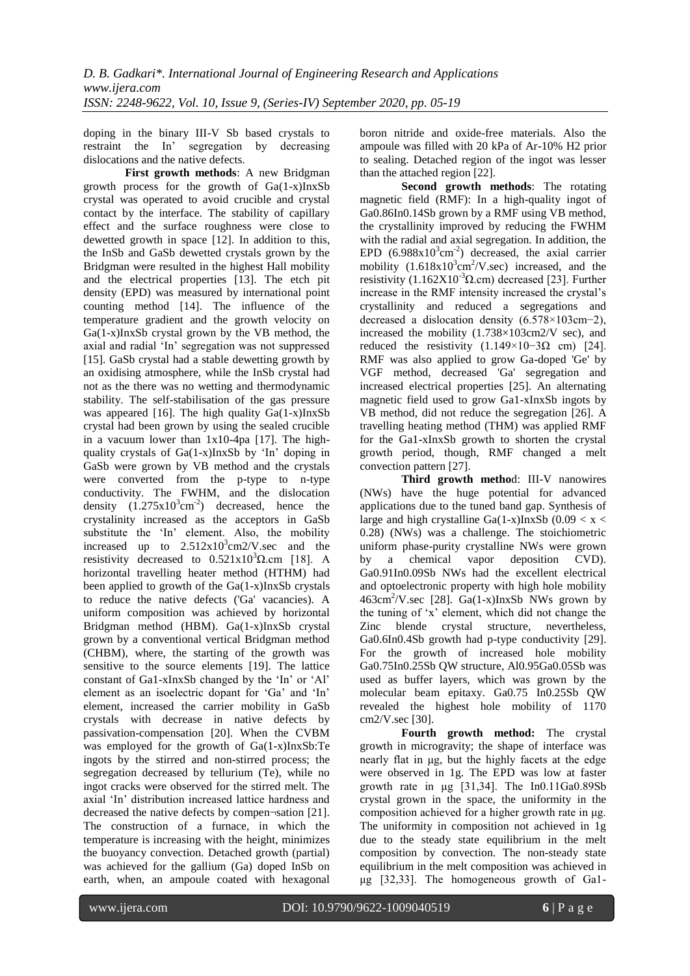doping in the binary III-V Sb based crystals to restraint the In" segregation by decreasing dislocations and the native defects.

**First growth methods**: A new Bridgman growth process for the growth of Ga(1-x)InxSb crystal was operated to avoid crucible and crystal contact by the interface. The stability of capillary effect and the surface roughness were close to dewetted growth in space [12]. In addition to this, the InSb and GaSb dewetted crystals grown by the Bridgman were resulted in the highest Hall mobility and the electrical properties [13]. The etch pit density (EPD) was measured by international point counting method [14]. The influence of the temperature gradient and the growth velocity on Ga(1-x)InxSb crystal grown by the VB method, the axial and radial "In" segregation was not suppressed [15]. GaSb crystal had a stable dewetting growth by an oxidising atmosphere, while the InSb crystal had not as the there was no wetting and thermodynamic stability. The self-stabilisation of the gas pressure was appeared [16]. The high quality Ga(1-x)InxSb crystal had been grown by using the sealed crucible in a vacuum lower than 1x10-4pa [17]. The highquality crystals of  $Ga(1-x)InxSb$  by 'In' doping in GaSb were grown by VB method and the crystals were converted from the p-type to n-type conductivity. The FWHM, and the dislocation density  $(1.275 \times 10^{3} \text{cm}^{-2})$  decreased, hence the crystalinity increased as the acceptors in GaSb substitute the 'In' element. Also, the mobility increased up to  $2.512 \times 10^3$  cm2/V.sec and the resistivity decreased to  $0.521x10<sup>3</sup>Ω.cm$  [18]. A horizontal travelling heater method (HTHM) had been applied to growth of the  $Ga(1-x)$ InxSb crystals to reduce the native defects ('Ga' vacancies). A uniform composition was achieved by horizontal Bridgman method (HBM). Ga(1-x)InxSb crystal grown by a conventional vertical Bridgman method (CHBM), where, the starting of the growth was sensitive to the source elements [19]. The lattice constant of Ga1-xInxSb changed by the "In" or "Al" element as an isoelectric dopant for "Ga" and "In" element, increased the carrier mobility in GaSb crystals with decrease in native defects by passivation-compensation [20]. When the CVBM was employed for the growth of Ga(1-x)InxSb:Te ingots by the stirred and non-stirred process; the segregation decreased by tellurium (Te), while no ingot cracks were observed for the stirred melt. The axial "In" distribution increased lattice hardness and decreased the native defects by compen¬sation [21]. The construction of a furnace, in which the temperature is increasing with the height, minimizes the buoyancy convection. Detached growth (partial) was achieved for the gallium (Ga) doped InSb on earth, when, an ampoule coated with hexagonal

boron nitride and oxide-free materials. Also the ampoule was filled with 20 kPa of Ar-10% H2 prior to sealing. Detached region of the ingot was lesser than the attached region [22].

**Second growth methods**: The rotating magnetic field (RMF): In a high-quality ingot of Ga0.86In0.14Sb grown by a RMF using VB method, the crystallinity improved by reducing the FWHM with the radial and axial segregation. In addition, the EPD  $(6.988 \times 10^{3} \text{cm}^{-2})$  decreased, the axial carrier mobility  $(1.618x10^3cm^2/V.sec)$  increased, and the resistivity  $(1.162X10^{-3}\Omega.cm)$  decreased [23]. Further increase in the RMF intensity increased the crystal"s crystallinity and reduced a segregations and decreased a dislocation density (6.578×103cm−2), increased the mobility (1.738×103cm2/V sec), and reduced the resistivity  $(1.149 \times 10 - 3\Omega \text{ cm})$  [24]. RMF was also applied to grow Ga-doped 'Ge' by VGF method, decreased 'Ga' segregation and increased electrical properties [25]. An alternating magnetic field used to grow Ga1-xInxSb ingots by VB method, did not reduce the segregation [26]. A travelling heating method (THM) was applied RMF for the Ga1-xInxSb growth to shorten the crystal growth period, though, RMF changed a melt convection pattern [27].

**Third growth metho**d: III-V nanowires (NWs) have the huge potential for advanced applications due to the tuned band gap. Synthesis of large and high crystalline Ga(1-x)InxSb (0.09  $\lt x \lt$ 0.28) (NWs) was a challenge. The stoichiometric uniform phase-purity crystalline NWs were grown by a chemical vapor deposition CVD). Ga0.91In0.09Sb NWs had the excellent electrical and optoelectronic property with high hole mobility  $463 \text{cm}^2/\text{V}$ .sec [28]. Ga(1-x)InxSb NWs grown by the tuning of "x" element, which did not change the Zinc blende crystal structure, nevertheless, Ga0.6In0.4Sb growth had p-type conductivity [29]. For the growth of increased hole mobility Ga0.75In0.25Sb QW structure, Al0.95Ga0.05Sb was used as buffer layers, which was grown by the molecular beam epitaxy. Ga0.75 In0.25Sb QW revealed the highest hole mobility of 1170 cm2/V.sec [30].

**Fourth growth method:** The crystal growth in microgravity; the shape of interface was nearly flat in μg, but the highly facets at the edge were observed in 1g. The EPD was low at faster growth rate in μg [31,34]. The In0.11Ga0.89Sb crystal grown in the space, the uniformity in the composition achieved for a higher growth rate in μg. The uniformity in composition not achieved in 1g due to the steady state equilibrium in the melt composition by convection. The non-steady state equilibrium in the melt composition was achieved in μg [32,33]. The homogeneous growth of Ga1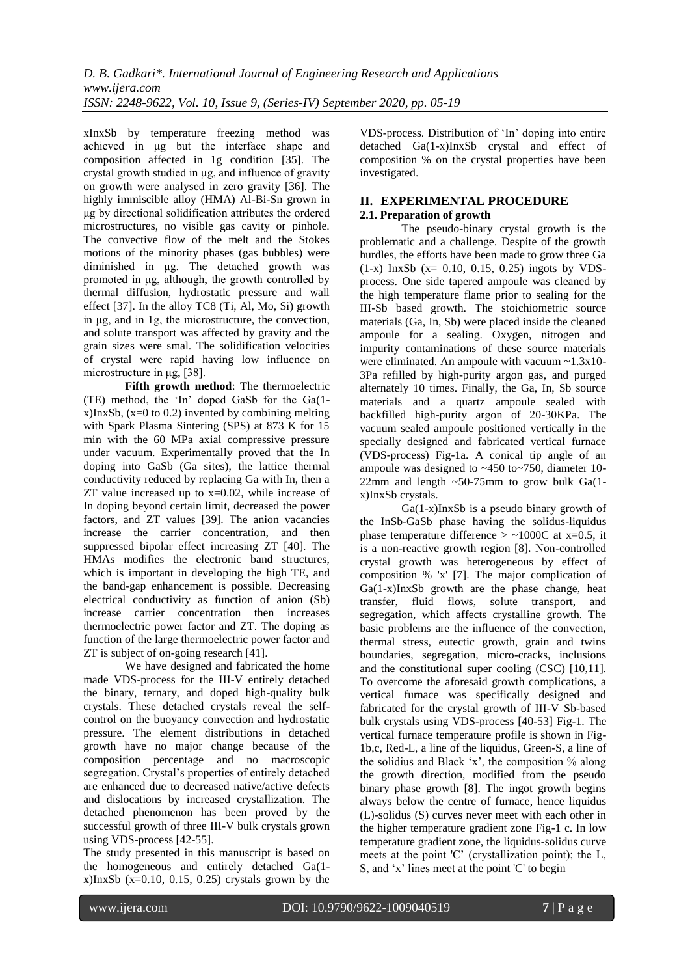xInxSb by temperature freezing method was achieved in μg but the interface shape and composition affected in 1g condition [35]. The crystal growth studied in μg, and influence of gravity on growth were analysed in zero gravity [36]. The highly immiscible alloy (HMA) Al-Bi-Sn grown in μg by directional solidification attributes the ordered microstructures, no visible gas cavity or pinhole. The convective flow of the melt and the Stokes motions of the minority phases (gas bubbles) were diminished in μg. The detached growth was promoted in μg, although, the growth controlled by thermal diffusion, hydrostatic pressure and wall effect [37]. In the alloy TC8 (Ti, Al, Mo, Si) growth in μg, and in 1g, the microstructure, the convection, and solute transport was affected by gravity and the grain sizes were smal. The solidification velocities of crystal were rapid having low influence on microstructure in μg, [38].

**Fifth growth method**: The thermoelectric (TE) method, the "In" doped GaSb for the Ga(1  $x$ )InxSb, ( $x=0$  to 0.2) invented by combining melting with Spark Plasma Sintering (SPS) at 873 K for 15 min with the 60 MPa axial compressive pressure under vacuum. Experimentally proved that the In doping into GaSb (Ga sites), the lattice thermal conductivity reduced by replacing Ga with In, then a ZT value increased up to x=0.02, while increase of In doping beyond certain limit, decreased the power factors, and ZT values [39]. The anion vacancies increase the carrier concentration, and then suppressed bipolar effect increasing ZT [40]. The HMAs modifies the electronic band structures, which is important in developing the high TE, and the band-gap enhancement is possible. Decreasing electrical conductivity as function of anion (Sb) increase carrier concentration then increases thermoelectric power factor and ZT. The doping as function of the large thermoelectric power factor and ZT is subject of on-going research [41].

We have designed and fabricated the home made VDS-process for the III-V entirely detached the binary, ternary, and doped high-quality bulk crystals. These detached crystals reveal the selfcontrol on the buoyancy convection and hydrostatic pressure. The element distributions in detached growth have no major change because of the composition percentage and no macroscopic segregation. Crystal's properties of entirely detached are enhanced due to decreased native/active defects and dislocations by increased crystallization. The detached phenomenon has been proved by the successful growth of three III-V bulk crystals grown using VDS-process [42-55].

The study presented in this manuscript is based on the homogeneous and entirely detached Ga(1  $x$ )InxSb ( $x=0.10$ , 0.15, 0.25) crystals grown by the

VDS-process. Distribution of "In" doping into entire detached Ga(1-x)InxSb crystal and effect of composition % on the crystal properties have been investigated.

# **II. EXPERIMENTAL PROCEDURE 2.1. Preparation of growth**

The pseudo-binary crystal growth is the problematic and a challenge. Despite of the growth hurdles, the efforts have been made to grow three Ga (1-x) InxSb (x= 0.10, 0.15, 0.25) ingots by VDSprocess. One side tapered ampoule was cleaned by the high temperature flame prior to sealing for the III-Sb based growth. The stoichiometric source materials (Ga, In, Sb) were placed inside the cleaned ampoule for a sealing. Oxygen, nitrogen and impurity contaminations of these source materials were eliminated. An ampoule with vacuum ~1.3x10-3Pa refilled by high-purity argon gas, and purged alternately 10 times. Finally, the Ga, In, Sb source materials and a quartz ampoule sealed with backfilled high-purity argon of 20-30KPa. The vacuum sealed ampoule positioned vertically in the specially designed and fabricated vertical furnace (VDS-process) Fig-1a. A conical tip angle of an ampoule was designed to ~450 to~750, diameter 10- 22mm and length  $\sim$  50-75mm to grow bulk Ga(1x)InxSb crystals.

Ga(1-x)InxSb is a pseudo binary growth of the InSb-GaSb phase having the solidus-liquidus phase temperature difference  $>$  ~1000C at x=0.5, it is a non-reactive growth region [8]. Non-controlled crystal growth was heterogeneous by effect of composition % 'x' [7]. The major complication of Ga(1-x)InxSb growth are the phase change, heat transfer, fluid flows, solute transport, and segregation, which affects crystalline growth. The basic problems are the influence of the convection, thermal stress, eutectic growth, grain and twins boundaries, segregation, micro-cracks, inclusions and the constitutional super cooling (CSC) [10,11]. To overcome the aforesaid growth complications, a vertical furnace was specifically designed and fabricated for the crystal growth of III-V Sb-based bulk crystals using VDS-process [40-53] Fig-1. The vertical furnace temperature profile is shown in Fig-1b,c, Red-L, a line of the liquidus, Green-S, a line of the solidius and Black "x", the composition % along the growth direction, modified from the pseudo binary phase growth [8]. The ingot growth begins always below the centre of furnace, hence liquidus (L)-solidus (S) curves never meet with each other in the higher temperature gradient zone Fig-1 c. In low temperature gradient zone, the liquidus-solidus curve meets at the point 'C" (crystallization point); the L, S, and "x" lines meet at the point 'C' to begin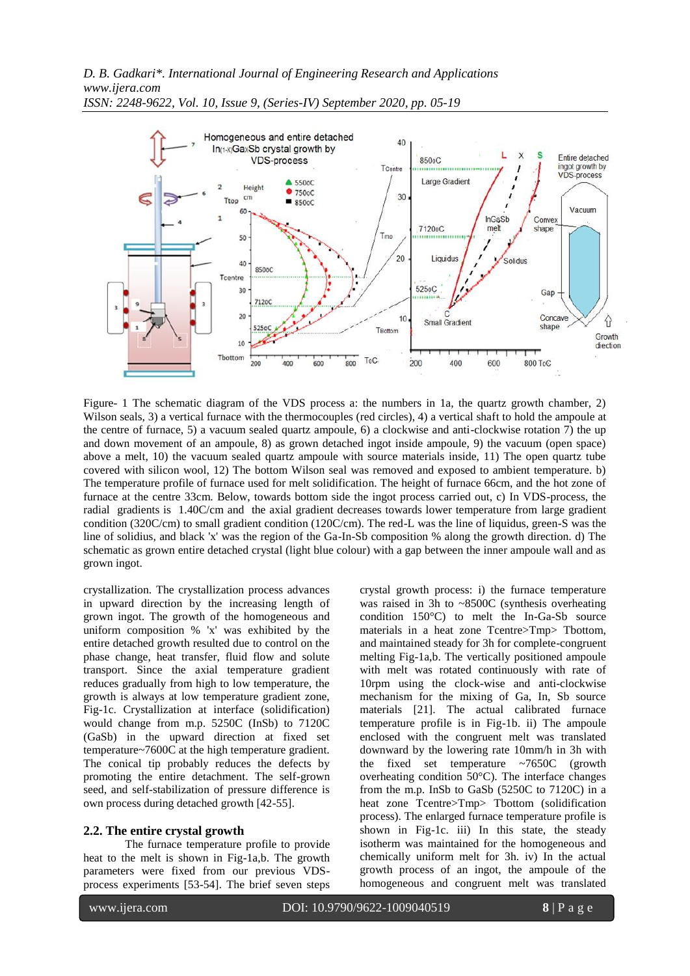

*ISSN: 2248-9622, Vol. 10, Issue 9, (Series-IV) September 2020, pp. 05-19*

Figure- 1 The schematic diagram of the VDS process a: the numbers in 1a, the quartz growth chamber, 2) Wilson seals, 3) a vertical furnace with the thermocouples (red circles), 4) a vertical shaft to hold the ampoule at the centre of furnace, 5) a vacuum sealed quartz ampoule, 6) a clockwise and anti-clockwise rotation 7) the up and down movement of an ampoule, 8) as grown detached ingot inside ampoule, 9) the vacuum (open space) above a melt, 10) the vacuum sealed quartz ampoule with source materials inside, 11) The open quartz tube covered with silicon wool, 12) The bottom Wilson seal was removed and exposed to ambient temperature. b) The temperature profile of furnace used for melt solidification. The height of furnace 66cm, and the hot zone of furnace at the centre 33cm. Below, towards bottom side the ingot process carried out, c) In VDS-process, the radial gradients is 1.40C/cm and the axial gradient decreases towards lower temperature from large gradient condition (320C/cm) to small gradient condition (120C/cm). The red-L was the line of liquidus, green-S was the line of solidius, and black 'x' was the region of the Ga-In-Sb composition % along the growth direction. d) The schematic as grown entire detached crystal (light blue colour) with a gap between the inner ampoule wall and as grown ingot.

crystallization. The crystallization process advances in upward direction by the increasing length of grown ingot. The growth of the homogeneous and uniform composition % 'x' was exhibited by the entire detached growth resulted due to control on the phase change, heat transfer, fluid flow and solute transport. Since the axial temperature gradient reduces gradually from high to low temperature, the growth is always at low temperature gradient zone, Fig-1c. Crystallization at interface (solidification) would change from m.p. 5250C (InSb) to 7120C (GaSb) in the upward direction at fixed set temperature~7600C at the high temperature gradient. The conical tip probably reduces the defects by promoting the entire detachment. The self-grown seed, and self-stabilization of pressure difference is own process during detached growth [42-55].

# **2.2. The entire crystal growth**

The furnace temperature profile to provide heat to the melt is shown in Fig-1a,b. The growth parameters were fixed from our previous VDSprocess experiments [53-54]. The brief seven steps crystal growth process: i) the furnace temperature was raised in 3h to ~8500C (synthesis overheating condition 150°C) to melt the In-Ga-Sb source materials in a heat zone Tcentre>Tmp> Tbottom, and maintained steady for 3h for complete-congruent melting Fig-1a,b. The vertically positioned ampoule with melt was rotated continuously with rate of 10rpm using the clock-wise and anti-clockwise mechanism for the mixing of Ga, In, Sb source materials [21]. The actual calibrated furnace temperature profile is in Fig-1b. ii) The ampoule enclosed with the congruent melt was translated downward by the lowering rate 10mm/h in 3h with the fixed set temperature ~7650C (growth overheating condition 50°C). The interface changes from the m.p. InSb to GaSb (5250C to 7120C) in a heat zone Tcentre>Tmp> Tbottom (solidification process). The enlarged furnace temperature profile is shown in Fig-1c. iii) In this state, the steady isotherm was maintained for the homogeneous and chemically uniform melt for 3h. iv) In the actual growth process of an ingot, the ampoule of the homogeneous and congruent melt was translated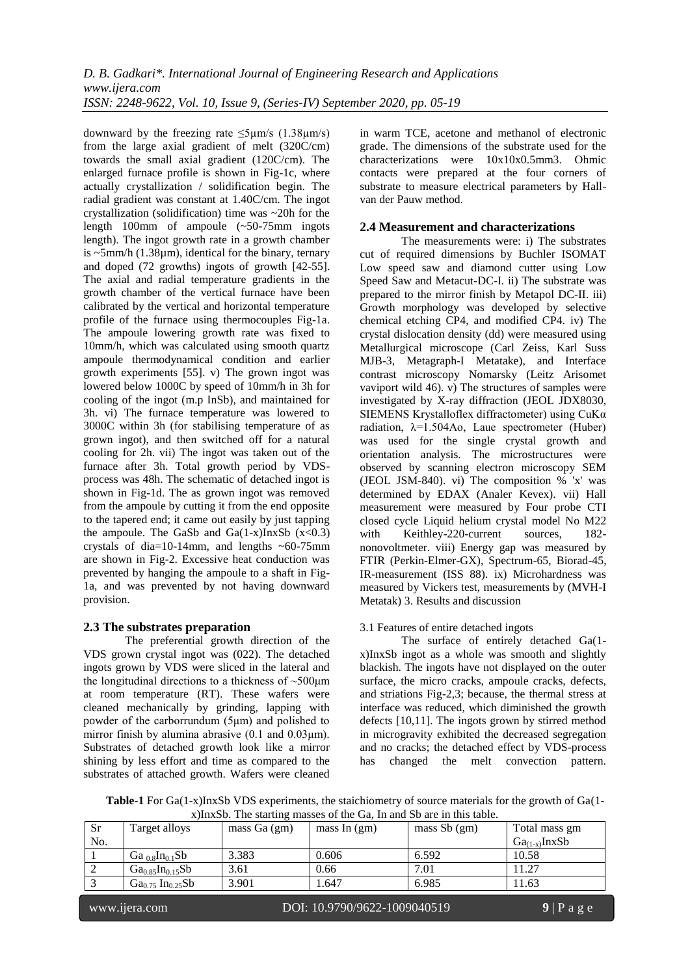downward by the freezing rate  $\leq 5 \mu m/s$  (1.38 $\mu m/s$ ) from the large axial gradient of melt (320C/cm) towards the small axial gradient (120C/cm). The enlarged furnace profile is shown in Fig-1c, where actually crystallization / solidification begin. The radial gradient was constant at 1.40C/cm. The ingot crystallization (solidification) time was ~20h for the length 100mm of ampoule (~50-75mm ingots length). The ingot growth rate in a growth chamber is  $\sim$ 5mm/h (1.38 $\mu$ m), identical for the binary, ternary and doped (72 growths) ingots of growth [42-55]. The axial and radial temperature gradients in the growth chamber of the vertical furnace have been calibrated by the vertical and horizontal temperature profile of the furnace using thermocouples Fig-1a. The ampoule lowering growth rate was fixed to 10mm/h, which was calculated using smooth quartz ampoule thermodynamical condition and earlier growth experiments [55]. v) The grown ingot was lowered below 1000C by speed of 10mm/h in 3h for cooling of the ingot (m.p InSb), and maintained for 3h. vi) The furnace temperature was lowered to 3000C within 3h (for stabilising temperature of as grown ingot), and then switched off for a natural cooling for 2h. vii) The ingot was taken out of the furnace after 3h. Total growth period by VDSprocess was 48h. The schematic of detached ingot is shown in Fig-1d. The as grown ingot was removed from the ampoule by cutting it from the end opposite to the tapered end; it came out easily by just tapping the ampoule. The GaSb and Ga(1-x)InxSb  $(x<0.3)$ crystals of dia=10-14mm, and lengths  $\sim 60-75$ mm are shown in Fig-2. Excessive heat conduction was prevented by hanging the ampoule to a shaft in Fig-1a, and was prevented by not having downward provision.

# **2.3 The substrates preparation**

The preferential growth direction of the VDS grown crystal ingot was (022). The detached ingots grown by VDS were sliced in the lateral and the longitudinal directions to a thickness of  $\sim 500 \mu m$ at room temperature (RT). These wafers were cleaned mechanically by grinding, lapping with powder of the carborrundum (5μm) and polished to mirror finish by alumina abrasive (0.1 and 0.03μm). Substrates of detached growth look like a mirror shining by less effort and time as compared to the substrates of attached growth. Wafers were cleaned in warm TCE, acetone and methanol of electronic grade. The dimensions of the substrate used for the characterizations were 10x10x0.5mm3. Ohmic contacts were prepared at the four corners of substrate to measure electrical parameters by Hallvan der Pauw method.

# **2.4 Measurement and characterizations**

The measurements were: i) The substrates cut of required dimensions by Buchler ISOMAT Low speed saw and diamond cutter using Low Speed Saw and Metacut-DC-I. ii) The substrate was prepared to the mirror finish by Metapol DC-II. iii) Growth morphology was developed by selective chemical etching CP4, and modified CP4. iv) The crystal dislocation density (dd) were measured using Metallurgical microscope (Carl Zeiss, Karl Suss MJB-3, Metagraph-I Metatake), and Interface contrast microscopy Nomarsky (Leitz Arisomet vaviport wild 46). v) The structures of samples were investigated by X-ray diffraction (JEOL JDX8030, SIEMENS Krystalloflex diffractometer) using CuKα radiation,  $\lambda = 1.504$ Ao, Laue spectrometer (Huber) was used for the single crystal growth and orientation analysis. The microstructures were observed by scanning electron microscopy SEM (JEOL JSM-840). vi) The composition % 'x' was determined by EDAX (Analer Kevex). vii) Hall measurement were measured by Four probe CTI closed cycle Liquid helium crystal model No M22 with Keithley-220-current sources, 182nonovoltmeter. viii) Energy gap was measured by FTIR (Perkin-Elmer-GX), Spectrum-65, Biorad-45, IR-measurement (ISS 88). ix) Microhardness was measured by Vickers test, measurements by (MVH-I Metatak) 3. Results and discussion

# 3.1 Features of entire detached ingots

The surface of entirely detached Ga(1 x)InxSb ingot as a whole was smooth and slightly blackish. The ingots have not displayed on the outer surface, the micro cracks, ampoule cracks, defects, and striations Fig-2,3; because, the thermal stress at interface was reduced, which diminished the growth defects [10,11]. The ingots grown by stirred method in microgravity exhibited the decreased segregation and no cracks; the detached effect by VDS-process has changed the melt convection pattern.

**Table-1** For Ga(1-x)InxSb VDS experiments, the staichiometry of source materials for the growth of Ga(1 x)InxSb. The starting masses of the Ga, In and Sb are in this table.

| <b>Sr</b> | Target alloys                     | mass $Ga(gm)$ | mass In $(gm)$ | mass $Sb$ (gm) | Total mass gm     |
|-----------|-----------------------------------|---------------|----------------|----------------|-------------------|
| No.       |                                   |               |                |                | $Ga_{(1-x)}InxSb$ |
|           | Ga $_{0.8}$ In <sub>0.1</sub> Sb  | 3.383         | 0.606          | 6.592          | 10.58             |
|           | $Ga_{0.85}In_{0.15}Sb$            | 3.61          | 0.66           | 7.01           | 1.27              |
|           | $Ga_{0.75}$ In <sub>0.25</sub> Sb | 3.901         | 1.647          | 6.985          | 1.63              |
|           |                                   |               |                |                |                   |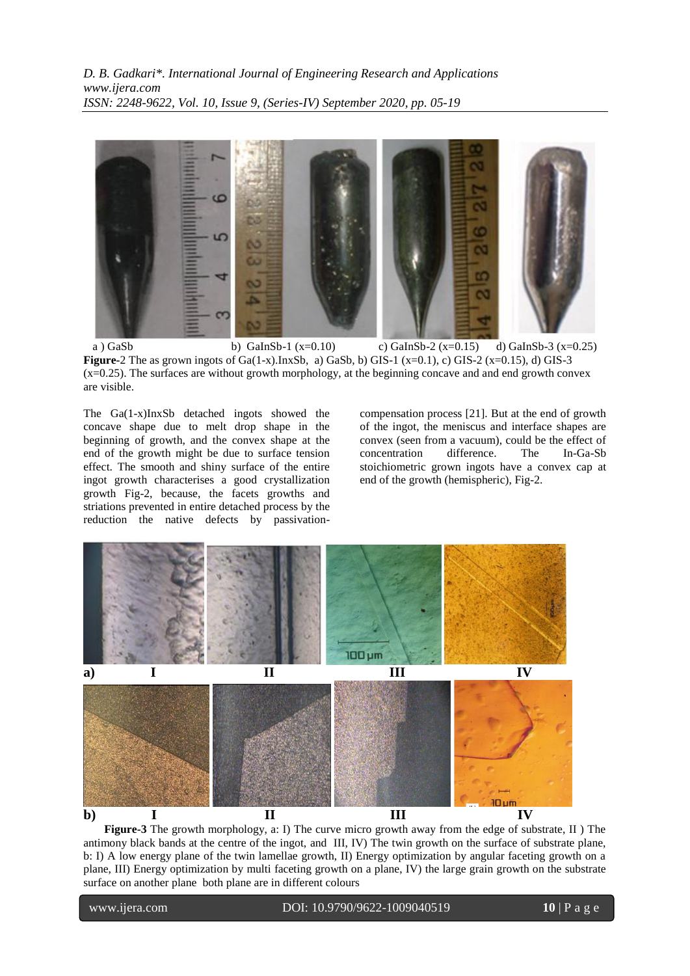

a ) GaSb b) GaInSb-1 (x=0.10) c) GaInSb-2 (x=0.15) d) GaInSb-3 (x=0.25) **Figure-**2 The as grown ingots of Ga(1-x).InxSb, a) GaSb, b) GIS-1 (x=0.1), c) GIS-2 (x=0.15), d) GIS-3 (x=0.25). The surfaces are without growth morphology, at the beginning concave and and end growth convex are visible.

The Ga(1-x)InxSb detached ingots showed the concave shape due to melt drop shape in the beginning of growth, and the convex shape at the end of the growth might be due to surface tension effect. The smooth and shiny surface of the entire ingot growth characterises a good crystallization growth Fig-2, because, the facets growths and striations prevented in entire detached process by the reduction the native defects by passivationcompensation process [21]. But at the end of growth of the ingot, the meniscus and interface shapes are convex (seen from a vacuum), could be the effect of concentration difference. The In-Ga-Sb stoichiometric grown ingots have a convex cap at end of the growth (hemispheric), Fig-2.



**Figure-3** The growth morphology, a: I) The curve micro growth away from the edge of substrate, II ) The antimony black bands at the centre of the ingot, and III, IV) The twin growth on the surface of substrate plane, b: I) A low energy plane of the twin lamellae growth, II) Energy optimization by angular faceting growth on a plane, III) Energy optimization by multi faceting growth on a plane, IV) the large grain growth on the substrate surface on another plane both plane are in different colours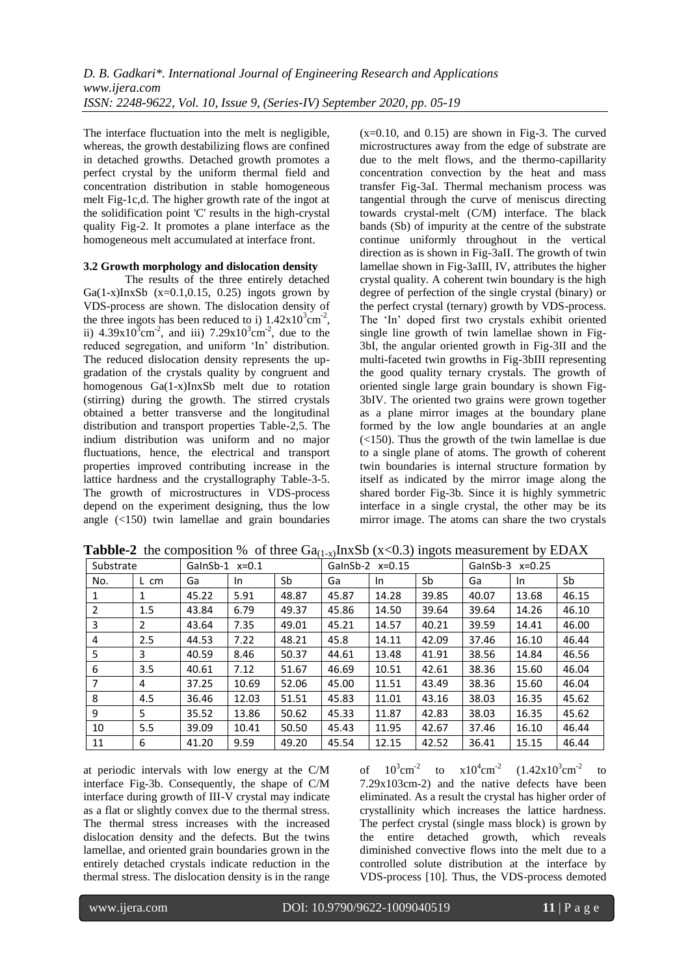The interface fluctuation into the melt is negligible, whereas, the growth destabilizing flows are confined in detached growths. Detached growth promotes a perfect crystal by the uniform thermal field and concentration distribution in stable homogeneous melt Fig-1c,d. The higher growth rate of the ingot at the solidification point 'C' results in the high-crystal quality Fig-2. It promotes a plane interface as the homogeneous melt accumulated at interface front.

## **3.2 Growth morphology and dislocation density**

The results of the three entirely detached Ga(1-x)InxSb (x=0.1,0.15, 0.25) ingots grown by VDS-process are shown. The dislocation density of the three ingots has been reduced to i)  $1.42 \times 10^{3} \text{cm}^{-2}$ , ii)  $4.39x10^{3}$ cm<sup>-2</sup>, and iii)  $7.29x10^{3}$ cm<sup>-2</sup>, due to the reduced segregation, and uniform 'In' distribution. The reduced dislocation density represents the upgradation of the crystals quality by congruent and homogenous Ga(1-x)InxSb melt due to rotation (stirring) during the growth. The stirred crystals obtained a better transverse and the longitudinal distribution and transport properties Table-2,5. The indium distribution was uniform and no major fluctuations, hence, the electrical and transport properties improved contributing increase in the lattice hardness and the crystallography Table-3-5. The growth of microstructures in VDS-process depend on the experiment designing, thus the low angle (<150) twin lamellae and grain boundaries

 $(x=0.10, \text{ and } 0.15)$  are shown in Fig-3. The curved microstructures away from the edge of substrate are due to the melt flows, and the thermo-capillarity concentration convection by the heat and mass transfer Fig-3aI. Thermal mechanism process was tangential through the curve of meniscus directing towards crystal-melt (C/M) interface. The black bands (Sb) of impurity at the centre of the substrate continue uniformly throughout in the vertical direction as is shown in Fig-3aII. The growth of twin lamellae shown in Fig-3aIII, IV, attributes the higher crystal quality. A coherent twin boundary is the high degree of perfection of the single crystal (binary) or the perfect crystal (ternary) growth by VDS-process. The "In" doped first two crystals exhibit oriented single line growth of twin lamellae shown in Fig-3bI, the angular oriented growth in Fig-3II and the multi-faceted twin growths in Fig-3bIII representing the good quality ternary crystals. The growth of oriented single large grain boundary is shown Fig-3bIV. The oriented two grains were grown together as a plane mirror images at the boundary plane formed by the low angle boundaries at an angle (<150). Thus the growth of the twin lamellae is due to a single plane of atoms. The growth of coherent twin boundaries is internal structure formation by itself as indicated by the mirror image along the shared border Fig-3b. Since it is highly symmetric interface in a single crystal, the other may be its mirror image. The atoms can share the two crystals

| Substrate<br>GalnSb-1 $x=0.1$ |      | GalnSb-2 $x=0.15$ |       |       | GalnSb-3 $x=0.25$ |       |       |       |       |       |
|-------------------------------|------|-------------------|-------|-------|-------------------|-------|-------|-------|-------|-------|
| No.                           | L cm | Ga                | In.   | Sb    | Ga                | In.   | Sb    | Ga    | In.   | Sb    |
| 1                             | 1    | 45.22             | 5.91  | 48.87 | 45.87             | 14.28 | 39.85 | 40.07 | 13.68 | 46.15 |
| 2                             | 1.5  | 43.84             | 6.79  | 49.37 | 45.86             | 14.50 | 39.64 | 39.64 | 14.26 | 46.10 |
| 3                             | 2    | 43.64             | 7.35  | 49.01 | 45.21             | 14.57 | 40.21 | 39.59 | 14.41 | 46.00 |
| 4                             | 2.5  | 44.53             | 7.22  | 48.21 | 45.8              | 14.11 | 42.09 | 37.46 | 16.10 | 46.44 |
| 5                             | 3    | 40.59             | 8.46  | 50.37 | 44.61             | 13.48 | 41.91 | 38.56 | 14.84 | 46.56 |
| 6                             | 3.5  | 40.61             | 7.12  | 51.67 | 46.69             | 10.51 | 42.61 | 38.36 | 15.60 | 46.04 |
| 7                             | 4    | 37.25             | 10.69 | 52.06 | 45.00             | 11.51 | 43.49 | 38.36 | 15.60 | 46.04 |
| 8                             | 4.5  | 36.46             | 12.03 | 51.51 | 45.83             | 11.01 | 43.16 | 38.03 | 16.35 | 45.62 |
| 9                             | 5    | 35.52             | 13.86 | 50.62 | 45.33             | 11.87 | 42.83 | 38.03 | 16.35 | 45.62 |
| 10                            | 5.5  | 39.09             | 10.41 | 50.50 | 45.43             | 11.95 | 42.67 | 37.46 | 16.10 | 46.44 |
| 11                            | 6    | 41.20             | 9.59  | 49.20 | 45.54             | 12.15 | 42.52 | 36.41 | 15.15 | 46.44 |

**Tabble-2** the composition % of three  $Ga_{(1-x)}InxSb(x<0.3)$  ingots measurement by EDAX

at periodic intervals with low energy at the C/M interface Fig-3b. Consequently, the shape of C/M interface during growth of III-V crystal may indicate as a flat or slightly convex due to the thermal stress. The thermal stress increases with the increased dislocation density and the defects. But the twins lamellae, and oriented grain boundaries grown in the entirely detached crystals indicate reduction in the thermal stress. The dislocation density is in the range

of  $10^3$ cm<sup>-2</sup> to  $x10^4$ cm<sup>-2</sup>  $(1.42x10^3$ cm<sup>-2</sup> to 7.29x103cm-2) and the native defects have been eliminated. As a result the crystal has higher order of crystallinity which increases the lattice hardness. The perfect crystal (single mass block) is grown by the entire detached growth, which reveals diminished convective flows into the melt due to a controlled solute distribution at the interface by VDS-process [10]. Thus, the VDS-process demoted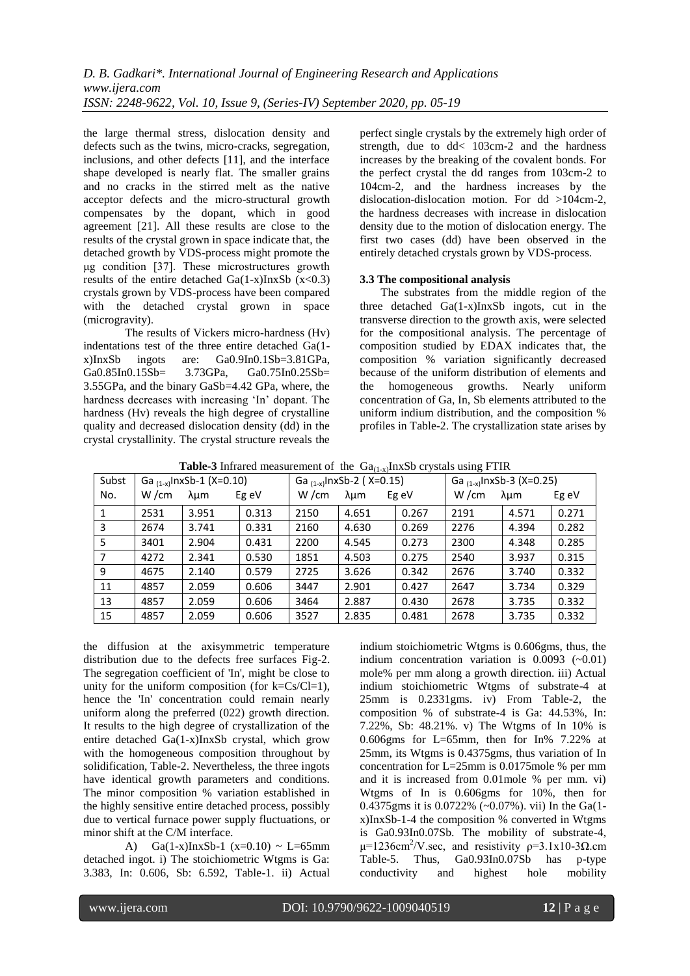the large thermal stress, dislocation density and defects such as the twins, micro-cracks, segregation, inclusions, and other defects [11], and the interface shape developed is nearly flat. The smaller grains and no cracks in the stirred melt as the native acceptor defects and the micro-structural growth compensates by the dopant, which in good agreement [21]. All these results are close to the results of the crystal grown in space indicate that, the detached growth by VDS-process might promote the μg condition [37]. These microstructures growth results of the entire detached  $Ga(1-x)InxSb$  (x<0.3) crystals grown by VDS-process have been compared with the detached crystal grown in space (microgravity).

The results of Vickers micro-hardness (Hv) indentations test of the three entire detached Ga(1 x)InxSb ingots are: Ga0.9In0.1Sb=3.81GPa, Ga0.85In0.15Sb= 3.73GPa, Ga0.75In0.25Sb= 3.55GPa, and the binary GaSb=4.42 GPa, where, the hardness decreases with increasing "In" dopant. The hardness (Hv) reveals the high degree of crystalline quality and decreased dislocation density (dd) in the crystal crystallinity. The crystal structure reveals the perfect single crystals by the extremely high order of strength, due to dd< 103cm-2 and the hardness increases by the breaking of the covalent bonds. For the perfect crystal the dd ranges from 103cm-2 to 104cm-2, and the hardness increases by the dislocation-dislocation motion. For dd >104cm-2, the hardness decreases with increase in dislocation density due to the motion of dislocation energy. The first two cases (dd) have been observed in the entirely detached crystals grown by VDS-process.

# **3.3 The compositional analysis**

The substrates from the middle region of the three detached Ga(1-x)InxSb ingots, cut in the transverse direction to the growth axis, were selected for the compositional analysis. The percentage of composition studied by EDAX indicates that, the composition % variation significantly decreased because of the uniform distribution of elements and the homogeneous growths. Nearly uniform concentration of Ga, In, Sb elements attributed to the uniform indium distribution, and the composition % profiles in Table-2. The crystallization state arises by

**Table-3** Infrared measurement of the  $Ga_{(1-x)}$ InxSb crystals using FTIR

| Subst | Ga $_{(1-x)}$ InxSb-1 (X=0.10) |       | Ga $_{(1-x)}$ InxSb-2 (X=0.15) |      |       | Ga $_{(1-x)}$ InxSb-3 (X=0.25) |      |       |       |
|-------|--------------------------------|-------|--------------------------------|------|-------|--------------------------------|------|-------|-------|
| No.   | W/cm                           | λμm   | Eg eV                          | W/cm | λμm   | Eg eV                          | W/cm | λμm   | Eg eV |
| 1     | 2531                           | 3.951 | 0.313                          | 2150 | 4.651 | 0.267                          | 2191 | 4.571 | 0.271 |
| 3     | 2674                           | 3.741 | 0.331                          | 2160 | 4.630 | 0.269                          | 2276 | 4.394 | 0.282 |
| 5     | 3401                           | 2.904 | 0.431                          | 2200 | 4.545 | 0.273                          | 2300 | 4.348 | 0.285 |
| 7     | 4272                           | 2.341 | 0.530                          | 1851 | 4.503 | 0.275                          | 2540 | 3.937 | 0.315 |
| 9     | 4675                           | 2.140 | 0.579                          | 2725 | 3.626 | 0.342                          | 2676 | 3.740 | 0.332 |
| 11    | 4857                           | 2.059 | 0.606                          | 3447 | 2.901 | 0.427                          | 2647 | 3.734 | 0.329 |
| 13    | 4857                           | 2.059 | 0.606                          | 3464 | 2.887 | 0.430                          | 2678 | 3.735 | 0.332 |
| 15    | 4857                           | 2.059 | 0.606                          | 3527 | 2.835 | 0.481                          | 2678 | 3.735 | 0.332 |

the diffusion at the axisymmetric temperature distribution due to the defects free surfaces Fig-2. The segregation coefficient of 'In', might be close to unity for the uniform composition (for  $k = Cs/Cl=1$ ), hence the 'In' concentration could remain nearly uniform along the preferred (022) growth direction. It results to the high degree of crystallization of the entire detached Ga(1-x)InxSb crystal, which grow with the homogeneous composition throughout by solidification, Table-2. Nevertheless, the three ingots have identical growth parameters and conditions. The minor composition % variation established in the highly sensitive entire detached process, possibly due to vertical furnace power supply fluctuations, or minor shift at the C/M interface.

A) Ga(1-x)InxSb-1 (x=0.10) ~ L=65mm detached ingot. i) The stoichiometric Wtgms is Ga: 3.383, In: 0.606, Sb: 6.592, Table-1. ii) Actual

indium stoichiometric Wtgms is 0.606gms, thus, the indium concentration variation is  $0.0093$  ( $\sim 0.01$ ) mole% per mm along a growth direction. iii) Actual indium stoichiometric Wtgms of substrate-4 at 25mm is 0.2331gms. iv) From Table-2, the composition % of substrate-4 is Ga: 44.53%, In: 7.22%, Sb: 48.21%. v) The Wtgms of In 10% is 0.606gms for L=65mm, then for In% 7.22% at 25mm, its Wtgms is 0.4375gms, thus variation of In concentration for L=25mm is 0.0175mole % per mm and it is increased from 0.01mole % per mm. vi) Wtgms of In is 0.606gms for 10%, then for 0.4375gms it is 0.0722% (~0.07%). vii) In the Ga(1 x)InxSb-1-4 the composition % converted in Wtgms is Ga0.93In0.07Sb. The mobility of substrate-4,  $μ=1236$ cm<sup>2</sup>/V.sec, and resistivity  $ρ=3.1x10-3Ω$ .cm Table-5. Thus, Ga0.93In0.07Sb has p-type conductivity and highest hole mobility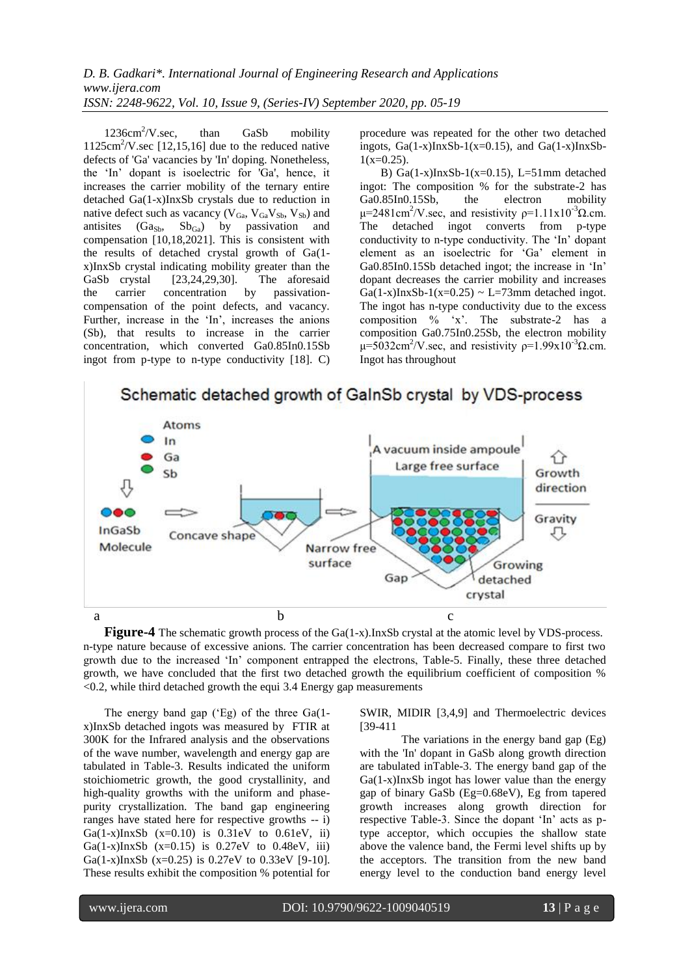$1236 \text{cm}^2/\text{V}$ .sec, than GaSb mobility  $1125 \text{cm}^2/\text{V}$ .sec [12,15,16] due to the reduced native defects of 'Ga' vacancies by 'In' doping. Nonetheless, the "In" dopant is isoelectric for 'Ga', hence, it increases the carrier mobility of the ternary entire detached Ga(1-x)InxSb crystals due to reduction in native defect such as vacancy ( $V_{Ga}$ ,  $V_{Ga}V_{Sb}$ ,  $V_{Sb}$ ) and antisites  $(Ga_{Sb}, Sb_{Ga})$  by passivation and compensation [10,18,2021]. This is consistent with the results of detached crystal growth of Ga(1 x)InxSb crystal indicating mobility greater than the GaSb crystal [23,24,29,30]. The aforesaid the carrier concentration by passivationcompensation of the point defects, and vacancy. Further, increase in the 'In', increases the anions (Sb), that results to increase in the carrier concentration, which converted Ga0.85In0.15Sb ingot from p-type to n-type conductivity [18]. C)

procedure was repeated for the other two detached ingots,  $Ga(1-x)InxSb-1(x=0.15)$ , and  $Ga(1-x)InxSb 1(x=0.25)$ .

B) Ga $(1-x)$ InxSb-1(x=0.15), L=51mm detached ingot: The composition % for the substrate-2 has<br>Ga0.85In0.15Sb, the electron mobility Ga0.85In0.15Sb, the electron mobility  $μ=2481cm<sup>2</sup>/V. sec$ , and resistivity  $ρ=1.11x10<sup>-3</sup>Ω.cm.$ The detached ingot converts from p-type conductivity to n-type conductivity. The "In" dopant element as an isoelectric for "Ga" element in Ga0.85In0.15Sb detached ingot; the increase in "In" dopant decreases the carrier mobility and increases  $Ga(1-x)$ InxSb-1(x=0.25) ~ L=73mm detached ingot. The ingot has n-type conductivity due to the excess composition % 'x'. The substrate-2 has a composition Ga0.75In0.25Sb, the electron mobility  $μ=5032cm<sup>2</sup>/V. sec$ , and resistivity  $ρ=1.99x10<sup>-3</sup>Ω.cm.$ Ingot has throughout



Schematic detached growth of GalnSb crystal by VDS-process

**Figure-4** The schematic growth process of the Ga(1-x).InxSb crystal at the atomic level by VDS-process. n-type nature because of excessive anions. The carrier concentration has been decreased compare to first two growth due to the increased "In" component entrapped the electrons, Table-5. Finally, these three detached growth, we have concluded that the first two detached growth the equilibrium coefficient of composition %  $\leq$ 0.2, while third detached growth the equi 3.4 Energy gap measurements

The energy band gap ('Eg) of the three Ga(1x)InxSb detached ingots was measured by FTIR at 300K for the Infrared analysis and the observations of the wave number, wavelength and energy gap are tabulated in Table-3. Results indicated the uniform stoichiometric growth, the good crystallinity, and high-quality growths with the uniform and phasepurity crystallization. The band gap engineering ranges have stated here for respective growths -- i) Ga(1-x)InxSb  $(x=0.10)$  is  $0.31eV$  to  $0.61eV$ , ii) Ga(1-x)InxSb (x=0.15) is  $0.27eV$  to  $0.48eV$ , iii) Ga(1-x)InxSb (x=0.25) is 0.27eV to 0.33eV [9-10]. These results exhibit the composition % potential for

SWIR, MIDIR [3,4,9] and Thermoelectric devices [39-411

The variations in the energy band gap (Eg) with the 'In' dopant in GaSb along growth direction are tabulated inTable-3. The energy band gap of the Ga(1-x)InxSb ingot has lower value than the energy gap of binary GaSb (Eg=0.68eV), Eg from tapered growth increases along growth direction for respective Table-3. Since the dopant "In" acts as ptype acceptor, which occupies the shallow state above the valence band, the Fermi level shifts up by the acceptors. The transition from the new band energy level to the conduction band energy level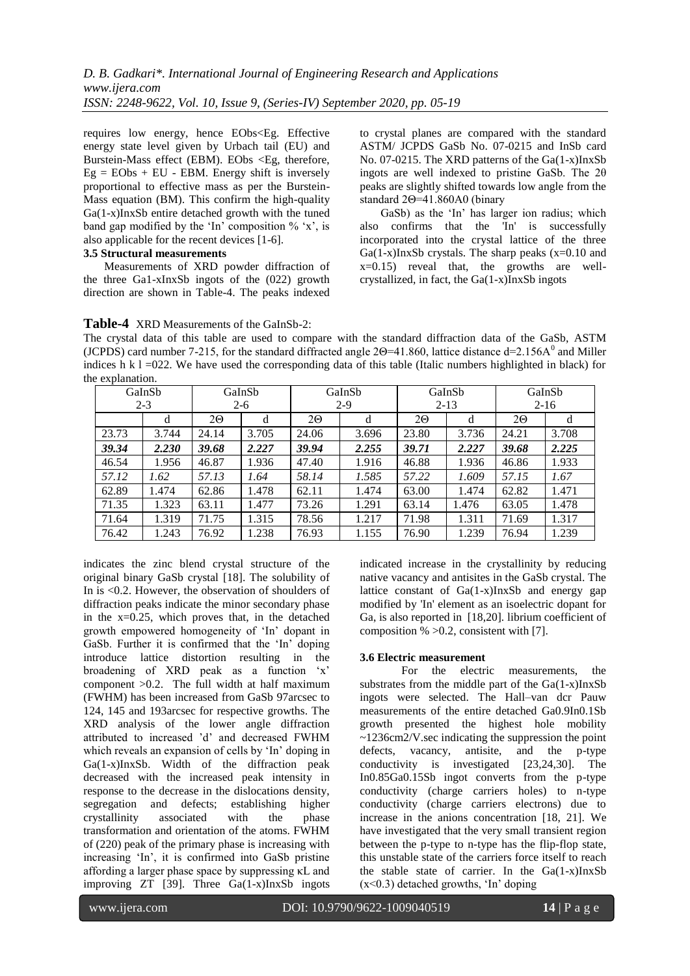requires low energy, hence EObs<Eg. Effective energy state level given by Urbach tail (EU) and Burstein-Mass effect (EBM). EObs <Eg, therefore,  $Eg = EObs + EU - EBM$ . Energy shift is inversely proportional to effective mass as per the Burstein-Mass equation (BM). This confirm the high-quality Ga(1-x)InxSb entire detached growth with the tuned band gap modified by the 'In' composition  $\%$  'x', is also applicable for the recent devices [1-6].

#### **3.5 Structural measurements**

Measurements of XRD powder diffraction of the three Ga1-xInxSb ingots of the (022) growth direction are shown in Table-4. The peaks indexed to crystal planes are compared with the standard ASTM/ JCPDS GaSb No. 07-0215 and InSb card No. 07-0215. The XRD patterns of the Ga(1-x)InxSb ingots are well indexed to pristine GaSb. The 2θ peaks are slightly shifted towards low angle from the standard 2Θ=41.860A0 (binary

GaSb) as the 'In' has larger ion radius; which also confirms that the 'In' is successfully incorporated into the crystal lattice of the three  $Ga(1-x)$ InxSb crystals. The sharp peaks  $(x=0.10$  and  $x=0.15$ ) reveal that, the growths are wellcrystallized, in fact, the Ga(1-x)InxSb ingots

# **Table-4** XRD Measurements of the GaInSb-2:

The crystal data of this table are used to compare with the standard diffraction data of the GaSb, ASTM (JCPDS) card number 7-215, for the standard diffracted angle  $2\Theta = 41.860$ , lattice distance d=2.156A<sup>0</sup> and Miller indices h k  $l = 022$ . We have used the corresponding data of this table (Italic numbers highlighted in black) for the explanation.

|       | GaInSb  |       | GaInSb |       | GaInSb |       | GaInSb   |       | GaInSb   |
|-------|---------|-------|--------|-------|--------|-------|----------|-------|----------|
|       | $2 - 3$ |       | $2-6$  |       | $2-9$  |       | $2 - 13$ |       | $2 - 16$ |
|       | d       | 20    | d      | 20    | d      | 20    | d        | 20    | d        |
| 23.73 | 3.744   | 24.14 | 3.705  | 24.06 | 3.696  | 23.80 | 3.736    | 24.21 | 3.708    |
| 39.34 | 2.230   | 39.68 | 2.227  | 39.94 | 2.255  | 39.71 | 2.227    | 39.68 | 2.225    |
| 46.54 | 1.956   | 46.87 | 1.936  | 47.40 | 1.916  | 46.88 | 1.936    | 46.86 | 1.933    |
| 57.12 | 1.62    | 57.13 | 1.64   | 58.14 | 1.585  | 57.22 | 1.609    | 57.15 | 1.67     |
| 62.89 | 1.474   | 62.86 | 1.478  | 62.11 | 1.474  | 63.00 | 1.474    | 62.82 | 1.471    |
| 71.35 | 1.323   | 63.11 | 1.477  | 73.26 | 1.291  | 63.14 | 1.476    | 63.05 | 1.478    |
| 71.64 | 1.319   | 71.75 | 1.315  | 78.56 | 1.217  | 71.98 | 1.311    | 71.69 | 1.317    |
| 76.42 | 1.243   | 76.92 | 1.238  | 76.93 | 1.155  | 76.90 | 1.239    | 76.94 | 1.239    |

indicates the zinc blend crystal structure of the original binary GaSb crystal [18]. The solubility of In is <0.2. However, the observation of shoulders of diffraction peaks indicate the minor secondary phase in the  $x=0.25$ , which proves that, in the detached growth empowered homogeneity of "In" dopant in GaSb. Further it is confirmed that the 'In' doping introduce lattice distortion resulting in the broadening of XRD peak as a function 'x' component >0.2. The full width at half maximum (FWHM) has been increased from GaSb 97arcsec to 124, 145 and 193arcsec for respective growths. The XRD analysis of the lower angle diffraction attributed to increased "d" and decreased FWHM which reveals an expansion of cells by 'In' doping in Ga(1-x)InxSb. Width of the diffraction peak decreased with the increased peak intensity in response to the decrease in the dislocations density, segregation and defects; establishing higher crystallinity associated with the phase crystallinity associated with the transformation and orientation of the atoms. FWHM of (220) peak of the primary phase is increasing with increasing 'In', it is confirmed into GaSb pristine affording a larger phase space by suppressing κL and improving ZT [39]. Three Ga(1-x)InxSb ingots

indicated increase in the crystallinity by reducing native vacancy and antisites in the GaSb crystal. The lattice constant of  $Ga(1-x)InxSb$  and energy gap modified by 'In' element as an isoelectric dopant for Ga, is also reported in [18,20]. librium coefficient of composition  $% >0.2$ , consistent with [7].

## **3.6 Electric measurement**

For the electric measurements, the substrates from the middle part of the Ga(1-x)InxSb ingots were selected. The Hall–van dcr Pauw measurements of the entire detached Ga0.9In0.1Sb growth presented the highest hole mobility ~1236cm2/V.sec indicating the suppression the point defects, vacancy, antisite, and the p-type conductivity is investigated [23,24,30]. The In0.85Ga0.15Sb ingot converts from the p-type conductivity (charge carriers holes) to n-type conductivity (charge carriers electrons) due to increase in the anions concentration [18, 21]. We have investigated that the very small transient region between the p-type to n-type has the flip-flop state, this unstable state of the carriers force itself to reach the stable state of carrier. In the  $Ga(1-x)InxSb$  $(x<0.3)$  detached growths, 'In' doping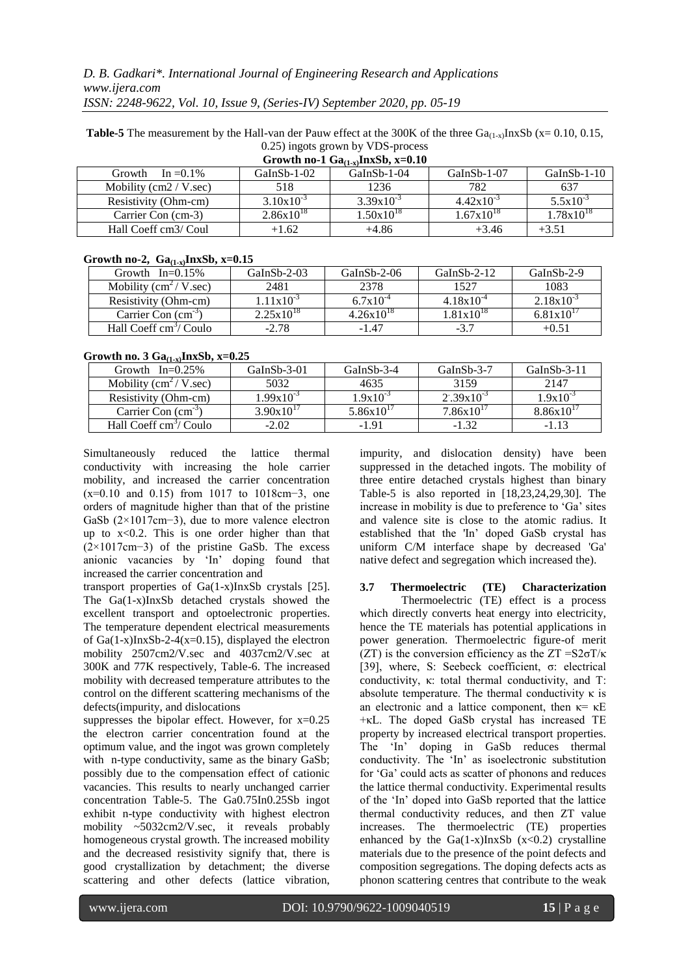| <b>Table-5</b> The measurement by the Hall-van der Pauw effect at the 300K of the three $Ga_{(1-x)}$ InxSb ( $x = 0.10, 0.15$ , |
|---------------------------------------------------------------------------------------------------------------------------------|
| 0.25) ingots grown by VDS-process                                                                                               |

| Growth no-1 $Ga_{(1-x)}InxSb$ , x=0.10 |                |                |                       |                |  |  |  |
|----------------------------------------|----------------|----------------|-----------------------|----------------|--|--|--|
| In = $0.1\%$<br>Growth                 | $GaInSb-1-02$  | $GaInSb-1-04$  | $GaInSb-1-07$         | $GaInSb-1-10$  |  |  |  |
| Mobility $(cm2 / V. sec)$              | 518            | 1236           | 782                   | 637            |  |  |  |
| Resistivity (Ohm-cm)                   | $3.10x10^{-3}$ | $3.39x10^{-3}$ | $4.42 \times 10^{-3}$ | $5.5x10^{-3}$  |  |  |  |
| Carrier Con (cm-3)                     | $2.86x10^{18}$ | $1.50x10^{18}$ | $1.67x10^{18}$        | $1.78x10^{18}$ |  |  |  |
| Hall Coeff cm3/ Coul                   | $+1.62$        | $+4.86$        | $+3.46$               | $+3.51$        |  |  |  |

#### **Growth no-2, Ga(1-x)InxSb, x=0.15**

| Growth $In=0.15\%$                      | $GaInSb-2-03$         | $GaInSb-2-06$  | $GaInSb-2-12$  | $GalnSb-2-9$          |
|-----------------------------------------|-----------------------|----------------|----------------|-----------------------|
| Mobility $\text{cm}^2 / \text{V}$ .sec) | 2481                  | 2378           | 1527           | 1083                  |
| Resistivity (Ohm-cm)                    | $1.11x10^{-3}$        | $6.7x10^{-4}$  | $4.18x10^{-4}$ | $2.18x10^{-3}$        |
| Carrier Con $(cm-5)$                    | $2.25 \times 10^{18}$ | $4.26x10^{18}$ | $1.81x10^{18}$ | $6.81 \times 10^{17}$ |
| Hall Coeff cm <sup>3</sup> / Coulo      | $-2.78$               | $-1.47$        | $-3.7$         | $+0.51$               |

## **Growth no. 3 Ga(1-x)InxSb, x=0.25**

| $\frac{1}{2}$                           |                |                |                |                |  |  |  |  |
|-----------------------------------------|----------------|----------------|----------------|----------------|--|--|--|--|
| Growth $In=0.25\%$                      | $GaInSb-3-01$  | $GaInSb-3-4$   | $GaInSb-3-7$   | $GaInSb-3-11$  |  |  |  |  |
| Mobility $\text{cm}^2 / \text{V}$ .sec) | 5032           | 4635           | 3159           | 2147           |  |  |  |  |
| Resistivity (Ohm-cm)                    | $1.99x10^{-3}$ | $1.9x10^{-3}$  | $2.39x10^{-3}$ | $1.9x10^{-3}$  |  |  |  |  |
| Carrier Con $(cm-5)$                    | $3.90x10^{17}$ | $5.86x10^{17}$ | $7.86x10^{17}$ | $8.86x10^{17}$ |  |  |  |  |
| Hall Coeff cm <sup>3</sup> / Coulo      | $-2.02$        | $-1.91$        | $-1.32$        | $-1.13$        |  |  |  |  |

Simultaneously reduced the lattice thermal conductivity with increasing the hole carrier mobility, and increased the carrier concentration (x=0.10 and 0.15) from 1017 to 1018cm−3, one orders of magnitude higher than that of the pristine GaSb (2×1017cm−3), due to more valence electron up to x<0.2. This is one order higher than that (2×1017cm−3) of the pristine GaSb. The excess anionic vacancies by "In" doping found that increased the carrier concentration and

transport properties of Ga(1-x)InxSb crystals [25]. The Ga(1-x)InxSb detached crystals showed the excellent transport and optoelectronic properties. The temperature dependent electrical measurements of  $Ga(1-x)InxSb-2-4(x=0.15)$ , displayed the electron mobility 2507cm2/V.sec and 4037cm2/V.sec at 300K and 77K respectively, Table-6. The increased mobility with decreased temperature attributes to the control on the different scattering mechanisms of the defects(impurity, and dislocations

suppresses the bipolar effect. However, for  $x=0.25$ the electron carrier concentration found at the optimum value, and the ingot was grown completely with n-type conductivity, same as the binary GaSb; possibly due to the compensation effect of cationic vacancies. This results to nearly unchanged carrier concentration Table-5. The Ga0.75In0.25Sb ingot exhibit n-type conductivity with highest electron mobility ~5032cm2/V.sec, it reveals probably homogeneous crystal growth. The increased mobility and the decreased resistivity signify that, there is good crystallization by detachment; the diverse scattering and other defects (lattice vibration,

impurity, and dislocation density) have been suppressed in the detached ingots. The mobility of three entire detached crystals highest than binary Table-5 is also reported in [18,23,24,29,30]. The increase in mobility is due to preference to 'Ga' sites and valence site is close to the atomic radius. It established that the 'In" doped GaSb crystal has uniform C/M interface shape by decreased 'Ga' native defect and segregation which increased the).

**3.7 Thermoelectric (TE) Characterization**  Thermoelectric (TE) effect is a process which directly converts heat energy into electricity, hence the TE materials has potential applications in power generation. Thermoelectric figure-of merit (ZT) is the conversion efficiency as the  $ZT = S2\sigma T/\kappa$ [39], where, S: Seebeck coefficient, σ: electrical conductivity, κ: total thermal conductivity, and T: absolute temperature. The thermal conductivity  $\kappa$  is an electronic and a lattice component, then  $\kappa = \kappa E$ +κL. The doped GaSb crystal has increased TE property by increased electrical transport properties. The "In" doping in GaSb reduces thermal conductivity. The "In" as isoelectronic substitution for "Ga" could acts as scatter of phonons and reduces the lattice thermal conductivity. Experimental results of the "In" doped into GaSb reported that the lattice thermal conductivity reduces, and then ZT value increases. The thermoelectric (TE) properties enhanced by the  $Ga(1-x)InxSb$  (x<0.2) crystalline materials due to the presence of the point defects and composition segregations. The doping defects acts as phonon scattering centres that contribute to the weak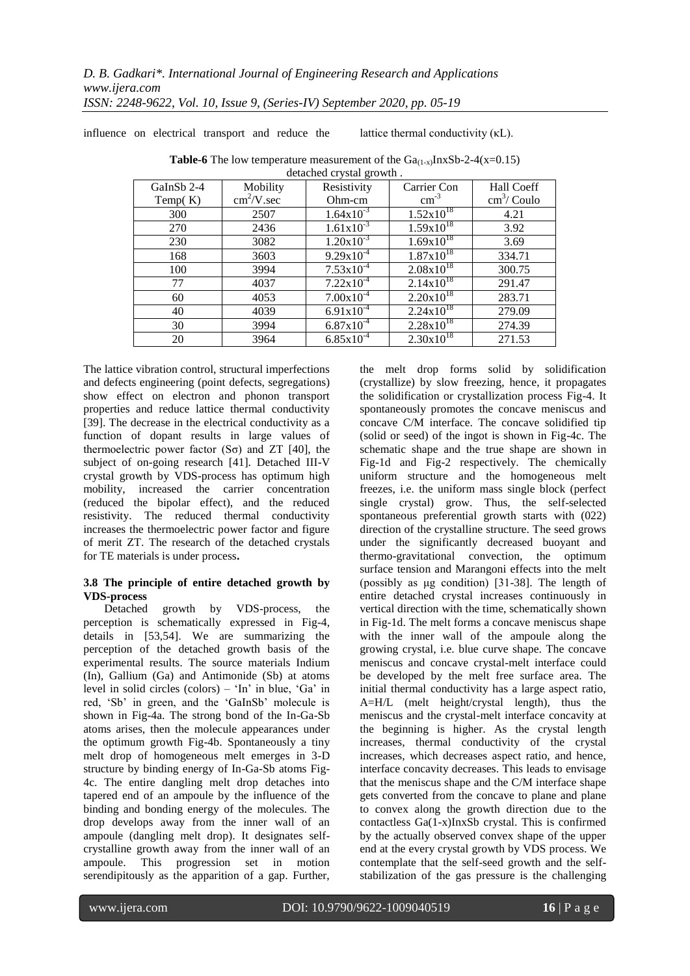influence on electrical transport and reduce the lattice thermal conductivity (κL).

| GaInSb 2-4 | Mobility                    | $\alpha$<br>Resistivity | Carrier Con           | Hall Coeff            |
|------------|-----------------------------|-------------------------|-----------------------|-----------------------|
| Temp $(K)$ | $\text{cm}^2/\text{V}$ .sec | Ohm-cm                  | $\text{cm}^{-3}$      | $\text{cm}^3$ / Coulo |
| 300        | 2507                        | $1.64x10^{-3}$          | $1.52 \times 10^{18}$ | 4.21                  |
| 270        | 2436                        | $1.61x10^{-3}$          | $1.59x10^{18}$        | 3.92                  |
| 230        | 3082                        | $1.20x10^{-3}$          | $1.69x10^{18}$        | 3.69                  |
| 168        | 3603                        | $9.29x10^{-4}$          | $1.87 \times 10^{18}$ | 334.71                |
| 100        | 3994                        | $7.53x10^{-4}$          | $2.08 \times 10^{18}$ | 300.75                |
| 77         | 4037                        | $7.22 \times 10^{-4}$   | $2.14x10^{18}$        | 291.47                |
| 60         | 4053                        | $7.00x10^{-4}$          | $2.20 \times 10^{18}$ | 283.71                |
| 40         | 4039                        | $6.91x10^{-4}$          | $2.24 \times 10^{18}$ | 279.09                |
| 30         | 3994                        | $6.87x10^{-4}$          | $2.28 \times 10^{18}$ | 274.39                |
| 20         | 3964                        | $6.85x10^{-4}$          | $2.30x10^{18}$        | 271.53                |

**Table-6** The low temperature measurement of the  $Ga_{(1-x)}InxSb-2-4(x=0.15)$ detached crystal growth .

The lattice vibration control, structural imperfections and defects engineering (point defects, segregations) show effect on electron and phonon transport properties and reduce lattice thermal conductivity [39]. The decrease in the electrical conductivity as a function of dopant results in large values of thermoelectric power factor  $(S\sigma)$  and ZT [40], the subject of on-going research [41]. Detached III-V crystal growth by VDS-process has optimum high mobility, increased the carrier concentration (reduced the bipolar effect), and the reduced resistivity. The reduced thermal conductivity increases the thermoelectric power factor and figure of merit ZT. The research of the detached crystals for TE materials is under process**.** 

## **3.8 The principle of entire detached growth by VDS-process**

Detached growth by VDS-process, the perception is schematically expressed in Fig-4, details in [53,54]. We are summarizing the perception of the detached growth basis of the experimental results. The source materials Indium (In), Gallium (Ga) and Antimonide (Sb) at atoms level in solid circles (colors) – 'In' in blue, 'Ga' in red, "Sb" in green, and the "GaInSb" molecule is shown in Fig-4a. The strong bond of the In-Ga-Sb atoms arises, then the molecule appearances under the optimum growth Fig-4b. Spontaneously a tiny melt drop of homogeneous melt emerges in 3-D structure by binding energy of In-Ga-Sb atoms Fig-4c. The entire dangling melt drop detaches into tapered end of an ampoule by the influence of the binding and bonding energy of the molecules. The drop develops away from the inner wall of an ampoule (dangling melt drop). It designates selfcrystalline growth away from the inner wall of an ampoule. This progression set in motion serendipitously as the apparition of a gap. Further,

the melt drop forms solid by solidification (crystallize) by slow freezing, hence, it propagates the solidification or crystallization process Fig-4. It spontaneously promotes the concave meniscus and concave C/M interface. The concave solidified tip (solid or seed) of the ingot is shown in Fig-4c. The schematic shape and the true shape are shown in Fig-1d and Fig-2 respectively. The chemically uniform structure and the homogeneous melt freezes, i.e. the uniform mass single block (perfect single crystal) grow. Thus, the self-selected spontaneous preferential growth starts with (022) direction of the crystalline structure. The seed grows under the significantly decreased buoyant and thermo-gravitational convection, the optimum surface tension and Marangoni effects into the melt (possibly as μg condition) [31-38]. The length of entire detached crystal increases continuously in vertical direction with the time, schematically shown in Fig-1d. The melt forms a concave meniscus shape with the inner wall of the ampoule along the growing crystal, i.e. blue curve shape. The concave meniscus and concave crystal-melt interface could be developed by the melt free surface area. The initial thermal conductivity has a large aspect ratio, A=H/L (melt height/crystal length), thus the meniscus and the crystal-melt interface concavity at the beginning is higher. As the crystal length increases, thermal conductivity of the crystal increases, which decreases aspect ratio, and hence, interface concavity decreases. This leads to envisage that the meniscus shape and the C/M interface shape gets converted from the concave to plane and plane to convex along the growth direction due to the contactless Ga(1-x)InxSb crystal. This is confirmed by the actually observed convex shape of the upper end at the every crystal growth by VDS process. We contemplate that the self-seed growth and the selfstabilization of the gas pressure is the challenging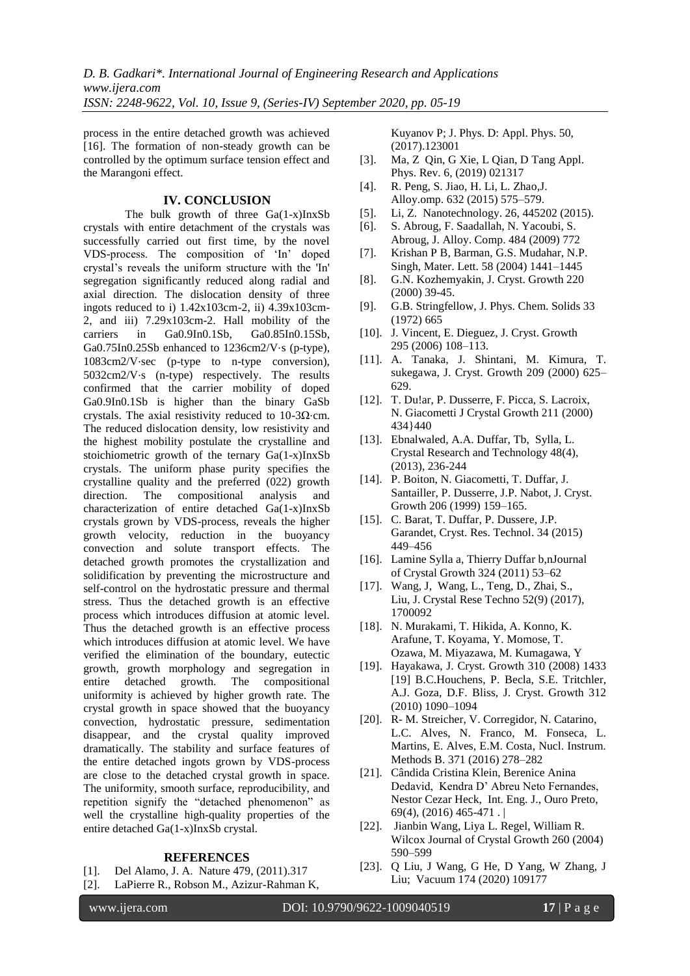process in the entire detached growth was achieved [16]. The formation of non-steady growth can be controlled by the optimum surface tension effect and the Marangoni effect.

## **IV. CONCLUSION**

The bulk growth of three Ga(1-x)InxSb crystals with entire detachment of the crystals was successfully carried out first time, by the novel VDS-process. The composition of "In" doped crystal"s reveals the uniform structure with the 'In' segregation significantly reduced along radial and axial direction. The dislocation density of three ingots reduced to i)  $1.42x103cm-2$ , ii)  $4.39x103cm$ -2, and iii) 7.29x103cm-2. Hall mobility of the carriers in Ga0.9In0.1Sb, Ga0.85In0.15Sb, Ga0.75In0.25Sb enhanced to 1236cm2/V⋅s (p-type), 1083cm2/V⋅sec (p-type to n-type conversion), 5032cm2/V⋅s (n-type) respectively. The results confirmed that the carrier mobility of doped Ga0.9In0.1Sb is higher than the binary GaSb crystals. The axial resistivity reduced to 10-3 $\Omega$ ⋅cm. The reduced dislocation density, low resistivity and the highest mobility postulate the crystalline and stoichiometric growth of the ternary Ga(1-x)InxSb crystals. The uniform phase purity specifies the crystalline quality and the preferred (022) growth direction. The compositional analysis and characterization of entire detached Ga(1-x)InxSb crystals grown by VDS-process, reveals the higher growth velocity, reduction in the buoyancy convection and solute transport effects. The detached growth promotes the crystallization and solidification by preventing the microstructure and self-control on the hydrostatic pressure and thermal stress. Thus the detached growth is an effective process which introduces diffusion at atomic level. Thus the detached growth is an effective process which introduces diffusion at atomic level. We have verified the elimination of the boundary, eutectic growth, growth morphology and segregation in entire detached growth. The compositional uniformity is achieved by higher growth rate. The crystal growth in space showed that the buoyancy convection, hydrostatic pressure, sedimentation disappear, and the crystal quality improved dramatically. The stability and surface features of the entire detached ingots grown by VDS-process are close to the detached crystal growth in space. The uniformity, smooth surface, reproducibility, and repetition signify the "detached phenomenon" as well the crystalline high-quality properties of the entire detached Ga(1-x)InxSb crystal.

#### **REFERENCES**

- [1]. Del Alamo, J. A. Nature 479, (2011).317
- [2]. LaPierre R., Robson M., Azizur-Rahman K,

Kuyanov P; J. Phys. D: Appl. Phys. 50, (2017).123001

- [3]. Ma, Z Qin, G Xie, L Qian, D Tang Appl. Phys. Rev. 6, (2019) 021317
- [4]. R. Peng, S. Jiao, H. Li, L. Zhao,J. Alloy.omp. 632 (2015) 575–579.
- [5]. Li, Z. Nanotechnology. 26, 445202 (2015).
- [6]. S. Abroug, F. Saadallah, N. Yacoubi, S. Abroug, J. Alloy. Comp. 484 (2009) 772
- [7]. Krishan P B, Barman, G.S. Mudahar, N.P. Singh, Mater. Lett. 58 (2004) 1441–1445
- [8]. G.N. Kozhemyakin, J. Cryst. Growth 220 (2000) 39-45.
- [9]. G.B. Stringfellow, J. Phys. Chem. Solids 33 (1972) 665
- [10]. J. Vincent, E. Dieguez, J. Cryst. Growth 295 (2006) 108–113.
- [11]. A. Tanaka, J. Shintani, M. Kimura, T. sukegawa, J. Cryst. Growth 209 (2000) 625– 629.
- [12]. T. Du!ar, P. Dusserre, F. Picca, S. Lacroix, N. Giacometti J Crystal Growth 211 (2000) 434}440
- [13]. Ebnalwaled, A.A. Duffar, Tb, Sylla, L. Crystal Research and Technology 48(4), (2013), 236-244
- [14]. P. Boiton, N. Giacometti, T. Duffar, J. Santailler, P. Dusserre, J.P. Nabot, J. Cryst. Growth 206 (1999) 159–165.
- [15]. C. Barat, T. Duffar, P. Dussere, J.P. Garandet, Cryst. Res. Technol. 34 (2015) 449–456
- [16]. Lamine Sylla a, Thierry Duffar b,nJournal of Crystal Growth 324 (2011) 53–62
- [17]. Wang, J, Wang, L., Teng, D., Zhai, S., Liu, J. Crystal Rese Techno 52(9) (2017), 1700092
- [18]. N. Murakami, T. Hikida, A. Konno, K. Arafune, T. Koyama, Y. Momose, T. Ozawa, M. Miyazawa, M. Kumagawa, Y
- [19]. Hayakawa, J. Cryst. Growth 310 (2008) 1433 [19] B.C.Houchens, P. Becla, S.E. Tritchler, A.J. Goza, D.F. Bliss, J. Cryst. Growth 312 (2010) 1090–1094
- [20]. R- M. Streicher, V. Corregidor, N. Catarino, L.C. Alves, N. Franco, M. Fonseca, L. Martins, E. Alves, E.M. Costa, Nucl. Instrum. Methods B. 371 (2016) 278–282
- [21]. Cândida Cristina Klein, Berenice Anina Dedavid, Kendra D" Abreu Neto Fernandes, Nestor Cezar Heck, Int. Eng. J., Ouro Preto, 69(4), (2016) 465-471 . |
- [22]. Jianbin Wang, Liya L. Regel, William R. Wilcox Journal of Crystal Growth 260 (2004) 590–599
- [23]. Q Liu, J Wang, G He, D Yang, W Zhang, J Liu; Vacuum 174 (2020) 109177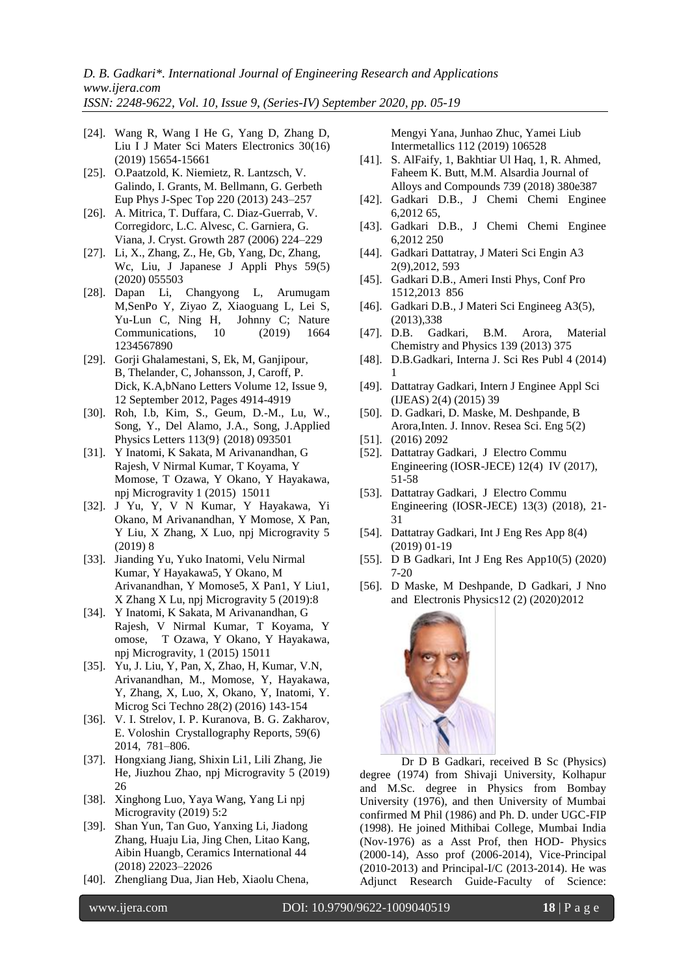- [24]. Wang R, Wang I He G, Yang D, Zhang D, Liu I J Mater Sci Maters Electronics 30(16) (2019) 15654-15661
- [25]. O.Paatzold, K. Niemietz, R. Lantzsch, V. Galindo, I. Grants, M. Bellmann, G. Gerbeth Eup Phys J-Spec Top 220 (2013) 243–257
- [26]. A. Mitrica, T. Duffara, C. Diaz-Guerrab, V. Corregidorc, L.C. Alvesc, C. Garniera, G. Viana, J. Cryst. Growth 287 (2006) 224–229
- [27]. Li, X., Zhang, Z., He, Gb, Yang, Dc, Zhang, Wc, Liu, J Japanese J Appli Phys 59(5) (2020) 055503
- [28]. Dapan Li, Changyong L, Arumugam M,SenPo Y, Ziyao Z, Xiaoguang L, Lei S, Yu-Lun C, Ning H, Communications, 10 (2019) 1664 1234567890
- [29]. Gorji Ghalamestani, S, Ek, M, Ganjipour, B, Thelander, C, Johansson, J, Caroff, P. Dick, K.A,bNano Letters Volume 12, Issue 9, 12 September 2012, Pages 4914-4919
- [30]. Roh, I.b, Kim, S., Geum, D.-M., Lu, W., Song, Y., Del Alamo, J.A., Song, J.Applied Physics Letters 113(9} (2018) 093501
- [31]. Y Inatomi, K Sakata, M Arivanandhan, G Rajesh, V Nirmal Kumar, T Koyama, Y Momose, T Ozawa, Y Okano, Y Hayakawa, npj Microgravity 1 (2015) 15011
- [32]. J Yu, Y, V N Kumar, Y Hayakawa, Yi Okano, M Arivanandhan, Y Momose, X Pan, Y Liu, X Zhang, X Luo, npj Microgravity 5 (2019) 8
- [33]. Jianding Yu, Yuko Inatomi, Velu Nirmal Kumar, Y Hayakawa5, Y Okano, M Arivanandhan, Y Momose5, X Pan1, Y Liu1, X Zhang X Lu, npj Microgravity 5 (2019):8
- [34]. Y Inatomi, K Sakata, M Arivanandhan, G Rajesh, V Nirmal Kumar, T Koyama, Y omose, T Ozawa, Y Okano, Y Hayakawa, npj Microgravity, 1 (2015) 15011
- [35]. Yu, J. Liu, Y, Pan, X, Zhao, H, Kumar, V.N, Arivanandhan, M., Momose, Y, Hayakawa, Y, Zhang, X, Luo, X, Okano, Y, Inatomi, Y. Microg Sci Techno 28(2) (2016) 143-154
- [36]. V. I. Strelov, I. P. Kuranova, B. G. Zakharov, E. Voloshin Crystallography Reports, 59(6) 2014, 781–806.
- [37]. Hongxiang Jiang, Shixin Li1, Lili Zhang, Jie He, Jiuzhou Zhao, npj Microgravity 5 (2019) 26
- [38]. Xinghong Luo, Yaya Wang, Yang Li npj Microgravity (2019) 5:2
- [39]. Shan Yun, Tan Guo, Yanxing Li, Jiadong Zhang, Huaju Lia, Jing Chen, Litao Kang, Aibin Huangb, Ceramics International 44 (2018) 22023–22026
- [40]. Zhengliang Dua, Jian Heb, Xiaolu Chena,

Mengyi Yana, Junhao Zhuc, Yamei Liub Intermetallics 112 (2019) 106528

- [41]. S. AlFaify, 1, Bakhtiar Ul Haq, 1, R. Ahmed, Faheem K. Butt, M.M. Alsardia Journal of Alloys and Compounds 739 (2018) 380e387
- [42]. Gadkari D.B., J Chemi Chemi Enginee 6,2012 65,
- [43]. Gadkari D.B., J Chemi Chemi Enginee 6,2012 250
- [44]. Gadkari Dattatray, J Materi Sci Engin A3 2(9),2012, 593
- [45]. Gadkari D.B., Ameri Insti Phys, Conf Pro 1512,2013 856
- [46]. Gadkari D.B., J Materi Sci Engineeg A3(5), (2013),338
- [47]. D.B. Gadkari, B.M. Arora, Material Chemistry and Physics 139 (2013) 375
- [48]. D.B.Gadkari, Interna J. Sci Res Publ 4 (2014) 1
- [49]. Dattatray Gadkari, Intern J Enginee Appl Sci (IJEAS) 2(4) (2015) 39
- [50]. D. Gadkari, D. Maske, M. Deshpande, B Arora,Inten. J. Innov. Resea Sci. Eng 5(2)
- [51]. (2016) 2092
- [52]. Dattatray Gadkari, J Electro Commu Engineering (IOSR-JECE) 12(4) IV (2017), 51-58
- [53]. Dattatray Gadkari, J Electro Commu Engineering (IOSR-JECE) 13(3) (2018), 21- 31
- [54]. Dattatray Gadkari, Int J Eng Res App 8(4) (2019) 01-19
- [55]. D B Gadkari, Int J Eng Res App10(5) (2020) 7-20
- [56]. D Maske, M Deshpande, D Gadkari, J Nno and Electronis Physics12 (2) (2020)2012



Dr D B Gadkari, received B Sc (Physics) degree (1974) from Shivaji University, Kolhapur and M.Sc. degree in Physics from Bombay University (1976), and then University of Mumbai confirmed M Phil (1986) and Ph. D. under UGC-FIP (1998). He joined Mithibai College, Mumbai India (Nov-1976) as a Asst Prof, then HOD- Physics (2000-14), Asso prof (2006-2014), Vice-Principal (2010-2013) and Principal-I/C (2013-2014). He was Adjunct Research Guide-Faculty of Science: